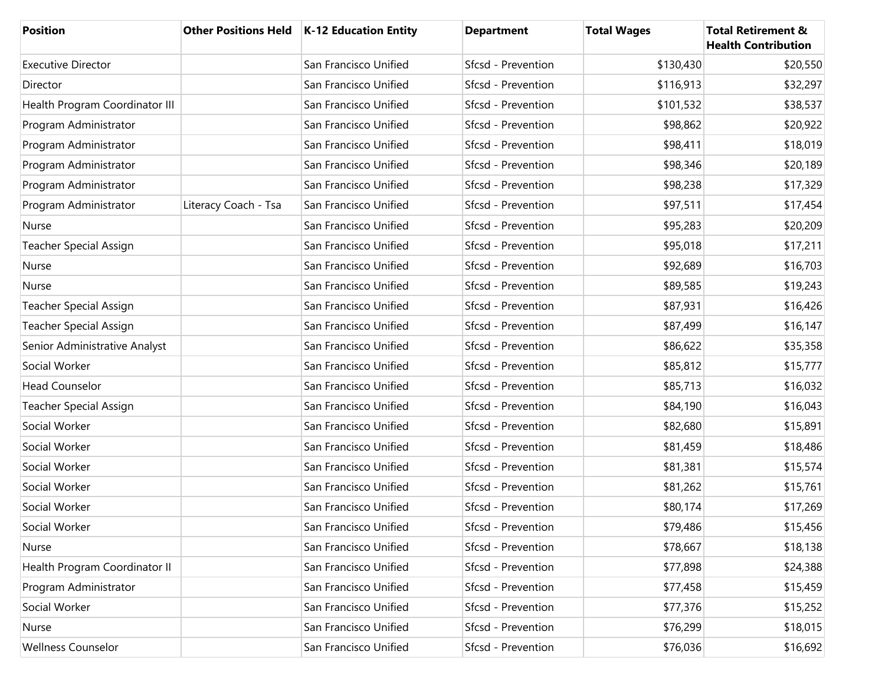| <b>Position</b>                |                      | Other Positions Held   K-12 Education Entity | <b>Department</b>  | <b>Total Wages</b> | <b>Total Retirement &amp;</b><br><b>Health Contribution</b> |
|--------------------------------|----------------------|----------------------------------------------|--------------------|--------------------|-------------------------------------------------------------|
| <b>Executive Director</b>      |                      | San Francisco Unified                        | Sfcsd - Prevention | \$130,430          | \$20,550                                                    |
| Director                       |                      | San Francisco Unified                        | Sfcsd - Prevention | \$116,913          | \$32,297                                                    |
| Health Program Coordinator III |                      | San Francisco Unified                        | Sfcsd - Prevention | \$101,532          | \$38,537                                                    |
| Program Administrator          |                      | San Francisco Unified                        | Sfcsd - Prevention | \$98,862           | \$20,922                                                    |
| Program Administrator          |                      | San Francisco Unified                        | Sfcsd - Prevention | \$98,411           | \$18,019                                                    |
| Program Administrator          |                      | San Francisco Unified                        | Sfcsd - Prevention | \$98,346           | \$20,189                                                    |
| Program Administrator          |                      | San Francisco Unified                        | Sfcsd - Prevention | \$98,238           | \$17,329                                                    |
| Program Administrator          | Literacy Coach - Tsa | San Francisco Unified                        | Sfcsd - Prevention | \$97,511           | \$17,454                                                    |
| Nurse                          |                      | San Francisco Unified                        | Sfcsd - Prevention | \$95,283           | \$20,209                                                    |
| <b>Teacher Special Assign</b>  |                      | San Francisco Unified                        | Sfcsd - Prevention | \$95,018           | \$17,211                                                    |
| Nurse                          |                      | San Francisco Unified                        | Sfcsd - Prevention | \$92,689           | \$16,703                                                    |
| Nurse                          |                      | San Francisco Unified                        | Sfcsd - Prevention | \$89,585           | \$19,243                                                    |
| <b>Teacher Special Assign</b>  |                      | San Francisco Unified                        | Sfcsd - Prevention | \$87,931           | \$16,426                                                    |
| <b>Teacher Special Assign</b>  |                      | San Francisco Unified                        | Sfcsd - Prevention | \$87,499           | \$16,147                                                    |
| Senior Administrative Analyst  |                      | San Francisco Unified                        | Sfcsd - Prevention | \$86,622           | \$35,358                                                    |
| Social Worker                  |                      | San Francisco Unified                        | Sfcsd - Prevention | \$85,812           | \$15,777                                                    |
| <b>Head Counselor</b>          |                      | San Francisco Unified                        | Sfcsd - Prevention | \$85,713           | \$16,032                                                    |
| <b>Teacher Special Assign</b>  |                      | San Francisco Unified                        | Sfcsd - Prevention | \$84,190           | \$16,043                                                    |
| Social Worker                  |                      | San Francisco Unified                        | Sfcsd - Prevention | \$82,680           | \$15,891                                                    |
| Social Worker                  |                      | San Francisco Unified                        | Sfcsd - Prevention | \$81,459           | \$18,486                                                    |
| Social Worker                  |                      | San Francisco Unified                        | Sfcsd - Prevention | \$81,381           | \$15,574                                                    |
| Social Worker                  |                      | San Francisco Unified                        | Sfcsd - Prevention | \$81,262           | \$15,761                                                    |
| Social Worker                  |                      | San Francisco Unified                        | Sfcsd - Prevention | \$80,174           | \$17,269                                                    |
| Social Worker                  |                      | San Francisco Unified                        | Sfcsd - Prevention | \$79,486           | \$15,456                                                    |
| Nurse                          |                      | San Francisco Unified                        | Sfcsd - Prevention | \$78,667           | \$18,138                                                    |
| Health Program Coordinator II  |                      | San Francisco Unified                        | Sfcsd - Prevention | \$77,898           | \$24,388                                                    |
| Program Administrator          |                      | San Francisco Unified                        | Sfcsd - Prevention | \$77,458           | \$15,459                                                    |
| Social Worker                  |                      | San Francisco Unified                        | Sfcsd - Prevention | \$77,376           | \$15,252                                                    |
| Nurse                          |                      | San Francisco Unified                        | Sfcsd - Prevention | \$76,299           | \$18,015                                                    |
| <b>Wellness Counselor</b>      |                      | San Francisco Unified                        | Sfcsd - Prevention | \$76,036           | \$16,692                                                    |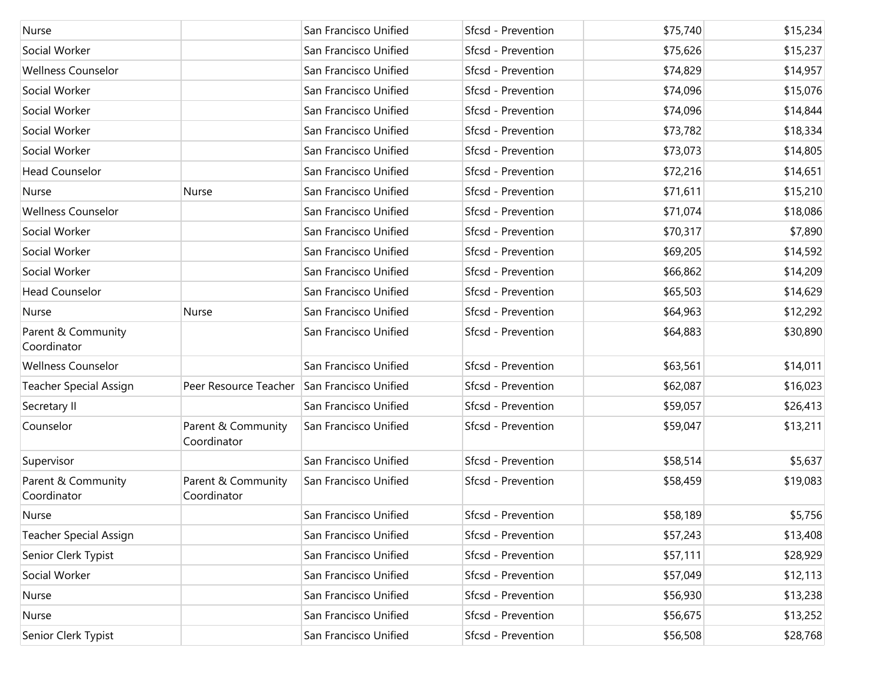| Nurse                             |                                   | San Francisco Unified | Sfcsd - Prevention | \$75,740 | \$15,234 |
|-----------------------------------|-----------------------------------|-----------------------|--------------------|----------|----------|
| Social Worker                     |                                   | San Francisco Unified | Sfcsd - Prevention | \$75,626 | \$15,237 |
| <b>Wellness Counselor</b>         |                                   | San Francisco Unified | Sfcsd - Prevention | \$74,829 | \$14,957 |
| Social Worker                     |                                   | San Francisco Unified | Sfcsd - Prevention | \$74,096 | \$15,076 |
| Social Worker                     |                                   | San Francisco Unified | Sfcsd - Prevention | \$74,096 | \$14,844 |
| Social Worker                     |                                   | San Francisco Unified | Sfcsd - Prevention | \$73,782 | \$18,334 |
| Social Worker                     |                                   | San Francisco Unified | Sfcsd - Prevention | \$73,073 | \$14,805 |
| <b>Head Counselor</b>             |                                   | San Francisco Unified | Sfcsd - Prevention | \$72,216 | \$14,651 |
| Nurse                             | Nurse                             | San Francisco Unified | Sfcsd - Prevention | \$71,611 | \$15,210 |
| <b>Wellness Counselor</b>         |                                   | San Francisco Unified | Sfcsd - Prevention | \$71,074 | \$18,086 |
| Social Worker                     |                                   | San Francisco Unified | Sfcsd - Prevention | \$70,317 | \$7,890  |
| Social Worker                     |                                   | San Francisco Unified | Sfcsd - Prevention | \$69,205 | \$14,592 |
| Social Worker                     |                                   | San Francisco Unified | Sfcsd - Prevention | \$66,862 | \$14,209 |
| <b>Head Counselor</b>             |                                   | San Francisco Unified | Sfcsd - Prevention | \$65,503 | \$14,629 |
| Nurse                             | Nurse                             | San Francisco Unified | Sfcsd - Prevention | \$64,963 | \$12,292 |
| Parent & Community<br>Coordinator |                                   | San Francisco Unified | Sfcsd - Prevention | \$64,883 | \$30,890 |
| <b>Wellness Counselor</b>         |                                   | San Francisco Unified | Sfcsd - Prevention | \$63,561 | \$14,011 |
| <b>Teacher Special Assign</b>     | Peer Resource Teacher             | San Francisco Unified | Sfcsd - Prevention | \$62,087 | \$16,023 |
| Secretary II                      |                                   | San Francisco Unified | Sfcsd - Prevention | \$59,057 | \$26,413 |
| Counselor                         | Parent & Community<br>Coordinator | San Francisco Unified | Sfcsd - Prevention | \$59,047 | \$13,211 |
| Supervisor                        |                                   | San Francisco Unified | Sfcsd - Prevention | \$58,514 | \$5,637  |
| Parent & Community<br>Coordinator | Parent & Community<br>Coordinator | San Francisco Unified | Sfcsd - Prevention | \$58,459 | \$19,083 |
| Nurse                             |                                   | San Francisco Unified | Sfcsd - Prevention | \$58,189 | \$5,756  |
| <b>Teacher Special Assign</b>     |                                   | San Francisco Unified | Sfcsd - Prevention | \$57,243 | \$13,408 |
| Senior Clerk Typist               |                                   | San Francisco Unified | Sfcsd - Prevention | \$57,111 | \$28,929 |
| Social Worker                     |                                   | San Francisco Unified | Sfcsd - Prevention | \$57,049 | \$12,113 |
| Nurse                             |                                   | San Francisco Unified | Sfcsd - Prevention | \$56,930 | \$13,238 |
| Nurse                             |                                   | San Francisco Unified | Sfcsd - Prevention | \$56,675 | \$13,252 |
| Senior Clerk Typist               |                                   | San Francisco Unified | Sfcsd - Prevention | \$56,508 | \$28,768 |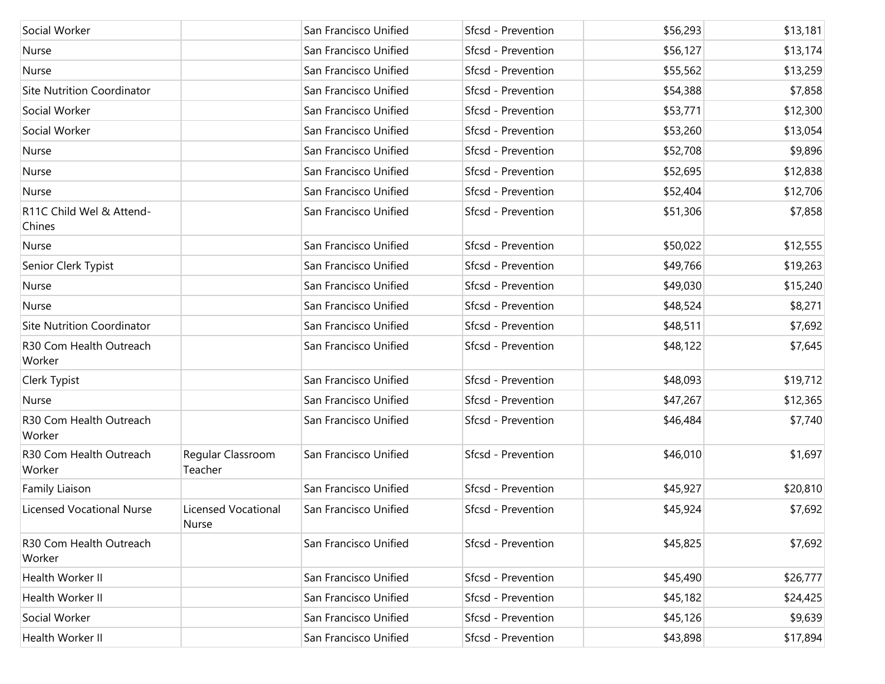| Social Worker                      |                                     | San Francisco Unified | Sfcsd - Prevention | \$56,293 | \$13,181 |
|------------------------------------|-------------------------------------|-----------------------|--------------------|----------|----------|
| Nurse                              |                                     | San Francisco Unified | Sfcsd - Prevention | \$56,127 | \$13,174 |
| Nurse                              |                                     | San Francisco Unified | Sfcsd - Prevention | \$55,562 | \$13,259 |
| <b>Site Nutrition Coordinator</b>  |                                     | San Francisco Unified | Sfcsd - Prevention | \$54,388 | \$7,858  |
| Social Worker                      |                                     | San Francisco Unified | Sfcsd - Prevention | \$53,771 | \$12,300 |
| Social Worker                      |                                     | San Francisco Unified | Sfcsd - Prevention | \$53,260 | \$13,054 |
| Nurse                              |                                     | San Francisco Unified | Sfcsd - Prevention | \$52,708 | \$9,896  |
| Nurse                              |                                     | San Francisco Unified | Sfcsd - Prevention | \$52,695 | \$12,838 |
| Nurse                              |                                     | San Francisco Unified | Sfcsd - Prevention | \$52,404 | \$12,706 |
| R11C Child Wel & Attend-<br>Chines |                                     | San Francisco Unified | Sfcsd - Prevention | \$51,306 | \$7,858  |
| Nurse                              |                                     | San Francisco Unified | Sfcsd - Prevention | \$50,022 | \$12,555 |
| Senior Clerk Typist                |                                     | San Francisco Unified | Sfcsd - Prevention | \$49,766 | \$19,263 |
| Nurse                              |                                     | San Francisco Unified | Sfcsd - Prevention | \$49,030 | \$15,240 |
| Nurse                              |                                     | San Francisco Unified | Sfcsd - Prevention | \$48,524 | \$8,271  |
| <b>Site Nutrition Coordinator</b>  |                                     | San Francisco Unified | Sfcsd - Prevention | \$48,511 | \$7,692  |
| R30 Com Health Outreach<br>Worker  |                                     | San Francisco Unified | Sfcsd - Prevention | \$48,122 | \$7,645  |
| Clerk Typist                       |                                     | San Francisco Unified | Sfcsd - Prevention | \$48,093 | \$19,712 |
| Nurse                              |                                     | San Francisco Unified | Sfcsd - Prevention | \$47,267 | \$12,365 |
| R30 Com Health Outreach<br>Worker  |                                     | San Francisco Unified | Sfcsd - Prevention | \$46,484 | \$7,740  |
| R30 Com Health Outreach<br>Worker  | Regular Classroom<br>Teacher        | San Francisco Unified | Sfcsd - Prevention | \$46,010 | \$1,697  |
| Family Liaison                     |                                     | San Francisco Unified | Sfcsd - Prevention | \$45,927 | \$20,810 |
| <b>Licensed Vocational Nurse</b>   | <b>Licensed Vocational</b><br>Nurse | San Francisco Unified | Sfcsd - Prevention | \$45,924 | \$7,692  |
| R30 Com Health Outreach<br>Worker  |                                     | San Francisco Unified | Sfcsd - Prevention | \$45,825 | \$7,692  |
| Health Worker II                   |                                     | San Francisco Unified | Sfcsd - Prevention | \$45,490 | \$26,777 |
| Health Worker II                   |                                     | San Francisco Unified | Sfcsd - Prevention | \$45,182 | \$24,425 |
| Social Worker                      |                                     | San Francisco Unified | Sfcsd - Prevention | \$45,126 | \$9,639  |
| Health Worker II                   |                                     | San Francisco Unified | Sfcsd - Prevention | \$43,898 | \$17,894 |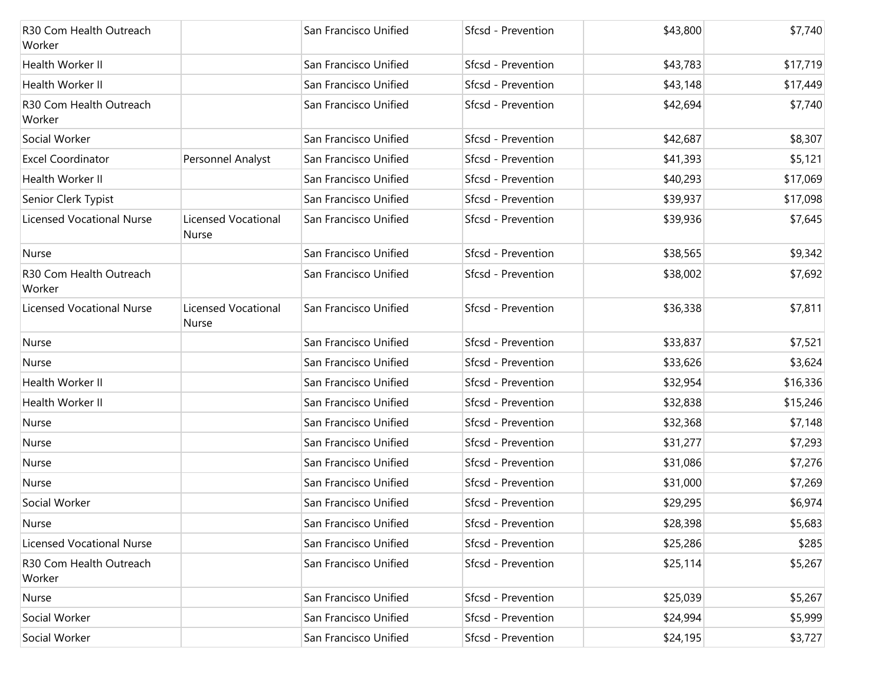| R30 Com Health Outreach<br>Worker |                              | San Francisco Unified | Sfcsd - Prevention | \$43,800 | \$7,740  |
|-----------------------------------|------------------------------|-----------------------|--------------------|----------|----------|
| Health Worker II                  |                              | San Francisco Unified | Sfcsd - Prevention | \$43,783 | \$17,719 |
| Health Worker II                  |                              | San Francisco Unified | Sfcsd - Prevention | \$43,148 | \$17,449 |
| R30 Com Health Outreach<br>Worker |                              | San Francisco Unified | Sfcsd - Prevention | \$42,694 | \$7,740  |
| Social Worker                     |                              | San Francisco Unified | Sfcsd - Prevention | \$42,687 | \$8,307  |
| <b>Excel Coordinator</b>          | Personnel Analyst            | San Francisco Unified | Sfcsd - Prevention | \$41,393 | \$5,121  |
| Health Worker II                  |                              | San Francisco Unified | Sfcsd - Prevention | \$40,293 | \$17,069 |
| Senior Clerk Typist               |                              | San Francisco Unified | Sfcsd - Prevention | \$39,937 | \$17,098 |
| <b>Licensed Vocational Nurse</b>  | Licensed Vocational<br>Nurse | San Francisco Unified | Sfcsd - Prevention | \$39,936 | \$7,645  |
| Nurse                             |                              | San Francisco Unified | Sfcsd - Prevention | \$38,565 | \$9,342  |
| R30 Com Health Outreach<br>Worker |                              | San Francisco Unified | Sfcsd - Prevention | \$38,002 | \$7,692  |
| <b>Licensed Vocational Nurse</b>  | Licensed Vocational<br>Nurse | San Francisco Unified | Sfcsd - Prevention | \$36,338 | \$7,811  |
| Nurse                             |                              | San Francisco Unified | Sfcsd - Prevention | \$33,837 | \$7,521  |
| Nurse                             |                              | San Francisco Unified | Sfcsd - Prevention | \$33,626 | \$3,624  |
| Health Worker II                  |                              | San Francisco Unified | Sfcsd - Prevention | \$32,954 | \$16,336 |
| Health Worker II                  |                              | San Francisco Unified | Sfcsd - Prevention | \$32,838 | \$15,246 |
| Nurse                             |                              | San Francisco Unified | Sfcsd - Prevention | \$32,368 | \$7,148  |
| Nurse                             |                              | San Francisco Unified | Sfcsd - Prevention | \$31,277 | \$7,293  |
| Nurse                             |                              | San Francisco Unified | Sfcsd - Prevention | \$31,086 | \$7,276  |
| Nurse                             |                              | San Francisco Unified | Sfcsd - Prevention | \$31,000 | \$7,269  |
| Social Worker                     |                              | San Francisco Unified | Sfcsd - Prevention | \$29,295 | \$6,974  |
| Nurse                             |                              | San Francisco Unified | Sfcsd - Prevention | \$28,398 | \$5,683  |
| <b>Licensed Vocational Nurse</b>  |                              | San Francisco Unified | Sfcsd - Prevention | \$25,286 | \$285    |
| R30 Com Health Outreach<br>Worker |                              | San Francisco Unified | Sfcsd - Prevention | \$25,114 | \$5,267  |
| Nurse                             |                              | San Francisco Unified | Sfcsd - Prevention | \$25,039 | \$5,267  |
| Social Worker                     |                              | San Francisco Unified | Sfcsd - Prevention | \$24,994 | \$5,999  |
| Social Worker                     |                              | San Francisco Unified | Sfcsd - Prevention | \$24,195 | \$3,727  |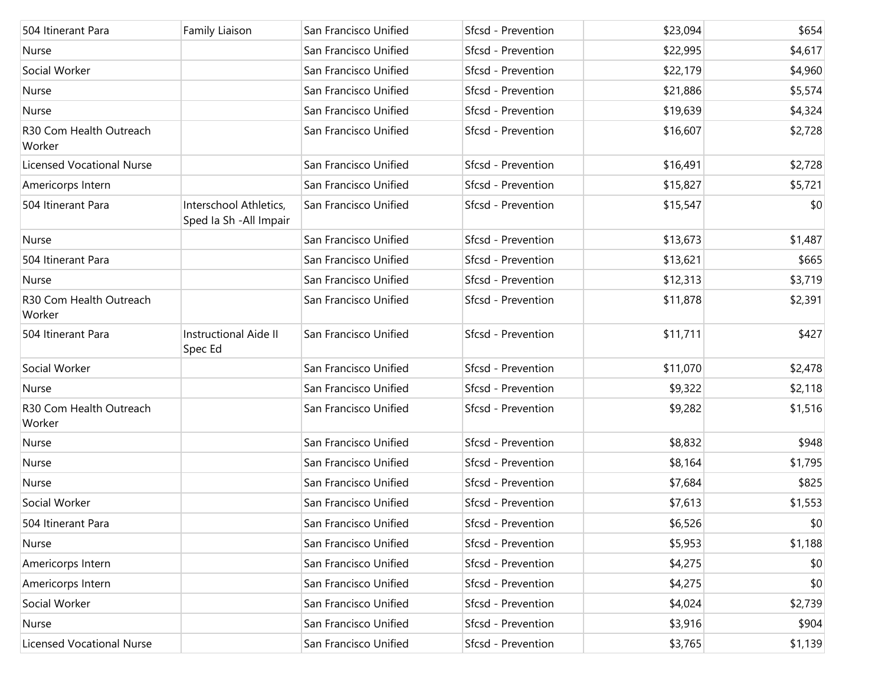| 504 Itinerant Para                | Family Liaison                                    | San Francisco Unified | Sfcsd - Prevention        | \$23,094 | \$654   |
|-----------------------------------|---------------------------------------------------|-----------------------|---------------------------|----------|---------|
| Nurse                             |                                                   | San Francisco Unified | Sfcsd - Prevention        | \$22,995 | \$4,617 |
| Social Worker                     |                                                   | San Francisco Unified | Sfcsd - Prevention        | \$22,179 | \$4,960 |
| Nurse                             |                                                   | San Francisco Unified | Sfcsd - Prevention        | \$21,886 | \$5,574 |
| Nurse                             |                                                   | San Francisco Unified | Sfcsd - Prevention        | \$19,639 | \$4,324 |
| R30 Com Health Outreach<br>Worker |                                                   | San Francisco Unified | <b>Sfcsd - Prevention</b> | \$16,607 | \$2,728 |
| <b>Licensed Vocational Nurse</b>  |                                                   | San Francisco Unified | Sfcsd - Prevention        | \$16,491 | \$2,728 |
| Americorps Intern                 |                                                   | San Francisco Unified | Sfcsd - Prevention        | \$15,827 | \$5,721 |
| 504 Itinerant Para                | Interschool Athletics,<br>Sped Ia Sh - All Impair | San Francisco Unified | Sfcsd - Prevention        | \$15,547 | \$0     |
| Nurse                             |                                                   | San Francisco Unified | Sfcsd - Prevention        | \$13,673 | \$1,487 |
| 504 Itinerant Para                |                                                   | San Francisco Unified | Sfcsd - Prevention        | \$13,621 | \$665   |
| Nurse                             |                                                   | San Francisco Unified | Sfcsd - Prevention        | \$12,313 | \$3,719 |
| R30 Com Health Outreach<br>Worker |                                                   | San Francisco Unified | Sfcsd - Prevention        | \$11,878 | \$2,391 |
| 504 Itinerant Para                | <b>Instructional Aide II</b><br>Spec Ed           | San Francisco Unified | Sfcsd - Prevention        | \$11,711 | \$427   |
| Social Worker                     |                                                   | San Francisco Unified | Sfcsd - Prevention        | \$11,070 | \$2,478 |
| Nurse                             |                                                   | San Francisco Unified | Sfcsd - Prevention        | \$9,322  | \$2,118 |
| R30 Com Health Outreach<br>Worker |                                                   | San Francisco Unified | Sfcsd - Prevention        | \$9,282  | \$1,516 |
| Nurse                             |                                                   | San Francisco Unified | Sfcsd - Prevention        | \$8,832  | \$948   |
| Nurse                             |                                                   | San Francisco Unified | Sfcsd - Prevention        | \$8,164  | \$1,795 |
| Nurse                             |                                                   | San Francisco Unified | Sfcsd - Prevention        | \$7,684  | \$825   |
| Social Worker                     |                                                   | San Francisco Unified | Sfcsd - Prevention        | \$7,613  | \$1,553 |
| 504 Itinerant Para                |                                                   | San Francisco Unified | Sfcsd - Prevention        | \$6,526  | \$0     |
| Nurse                             |                                                   | San Francisco Unified | Sfcsd - Prevention        | \$5,953  | \$1,188 |
| Americorps Intern                 |                                                   | San Francisco Unified | Sfcsd - Prevention        | \$4,275  | \$0     |
| Americorps Intern                 |                                                   | San Francisco Unified | Sfcsd - Prevention        | \$4,275  | \$0     |
| Social Worker                     |                                                   | San Francisco Unified | Sfcsd - Prevention        | \$4,024  | \$2,739 |
| Nurse                             |                                                   | San Francisco Unified | Sfcsd - Prevention        | \$3,916  | \$904   |
| <b>Licensed Vocational Nurse</b>  |                                                   | San Francisco Unified | Sfcsd - Prevention        | \$3,765  | \$1,139 |